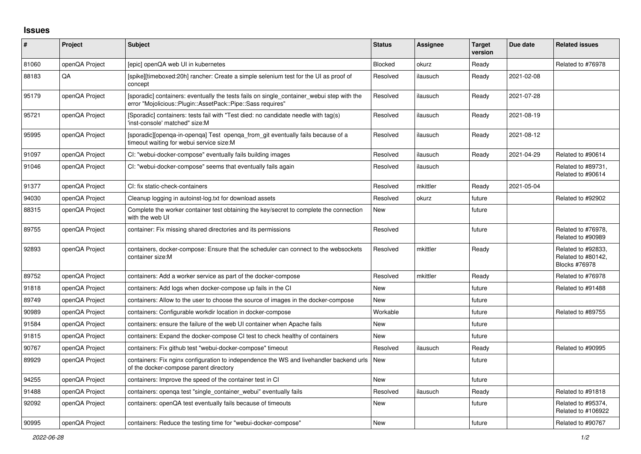## **Issues**

| #     | Project        | <b>Subject</b>                                                                                                                                           | <b>Status</b> | <b>Assignee</b> | <b>Target</b><br>version | Due date   | <b>Related issues</b>                                            |
|-------|----------------|----------------------------------------------------------------------------------------------------------------------------------------------------------|---------------|-----------------|--------------------------|------------|------------------------------------------------------------------|
| 81060 | openQA Project | Tepic] openQA web UI in kubernetes                                                                                                                       | Blocked       | okurz           | Ready                    |            | Related to #76978                                                |
| 88183 | QA             | [spike][timeboxed:20h] rancher: Create a simple selenium test for the UI as proof of<br>concept                                                          | Resolved      | ilausuch        | Ready                    | 2021-02-08 |                                                                  |
| 95179 | openQA Project | [sporadic] containers: eventually the tests fails on single container webui step with the<br>error "Mojolicious::Plugin::AssetPack::Pipe::Sass requires" | Resolved      | ilausuch        | Ready                    | 2021-07-28 |                                                                  |
| 95721 | openQA Project | [Sporadic] containers: tests fail with "Test died: no candidate needle with tag(s)<br>'inst-console' matched" size:M                                     | Resolved      | ilausuch        | Ready                    | 2021-08-19 |                                                                  |
| 95995 | openQA Project | [sporadic][openga-in-openga] Test openga from git eventually fails because of a<br>timeout waiting for webui service size:M                              | Resolved      | ilausuch        | Ready                    | 2021-08-12 |                                                                  |
| 91097 | openQA Project | CI: "webui-docker-compose" eventually fails building images                                                                                              | Resolved      | ilausuch        | Ready                    | 2021-04-29 | Related to #90614                                                |
| 91046 | openQA Project | CI: "webui-docker-compose" seems that eventually fails again                                                                                             | Resolved      | ilausuch        |                          |            | Related to #89731,<br>Related to #90614                          |
| 91377 | openQA Project | CI: fix static-check-containers                                                                                                                          | Resolved      | mkittler        | Ready                    | 2021-05-04 |                                                                  |
| 94030 | openQA Project | Cleanup logging in autoinst-log.txt for download assets                                                                                                  | Resolved      | okurz           | future                   |            | Related to #92902                                                |
| 88315 | openQA Project | Complete the worker container test obtaining the key/secret to complete the connection<br>with the web UI                                                | <b>New</b>    |                 | future                   |            |                                                                  |
| 89755 | openQA Project | container: Fix missing shared directories and its permissions                                                                                            | Resolved      |                 | future                   |            | Related to #76978,<br>Related to #90989                          |
| 92893 | openQA Project | containers, docker-compose: Ensure that the scheduler can connect to the websockets<br>container size:M                                                  | Resolved      | mkittler        | Ready                    |            | Related to #92833,<br>Related to #80142,<br><b>Blocks #76978</b> |
| 89752 | openQA Project | containers: Add a worker service as part of the docker-compose                                                                                           | Resolved      | mkittler        | Ready                    |            | Related to #76978                                                |
| 91818 | openQA Project | containers: Add logs when docker-compose up fails in the CI                                                                                              | New           |                 | future                   |            | Related to #91488                                                |
| 89749 | openQA Project | containers: Allow to the user to choose the source of images in the docker-compose                                                                       | New           |                 | future                   |            |                                                                  |
| 90989 | openQA Project | containers: Configurable workdir location in docker-compose                                                                                              | Workable      |                 | future                   |            | Related to #89755                                                |
| 91584 | openQA Project | containers: ensure the failure of the web UI container when Apache fails                                                                                 | New           |                 | future                   |            |                                                                  |
| 91815 | openQA Project | containers: Expand the docker-compose CI test to check healthy of containers                                                                             | <b>New</b>    |                 | future                   |            |                                                                  |
| 90767 | openQA Project | containers: Fix github test "webui-docker-compose" timeout                                                                                               | Resolved      | ilausuch        | Ready                    |            | Related to #90995                                                |
| 89929 | openQA Project | containers: Fix nginx configuration to independence the WS and livehandler backend urls<br>of the docker-compose parent directory                        | New           |                 | future                   |            |                                                                  |
| 94255 | openQA Project | containers: Improve the speed of the container test in CI                                                                                                | <b>New</b>    |                 | future                   |            |                                                                  |
| 91488 | openQA Project | containers: openga test "single container webui" eventually fails                                                                                        | Resolved      | ilausuch        | Ready                    |            | Related to #91818                                                |
| 92092 | openQA Project | containers: openQA test eventually fails because of timeouts                                                                                             | New           |                 | future                   |            | Related to #95374,<br>Related to #106922                         |
| 90995 | openQA Project | containers: Reduce the testing time for "webui-docker-compose"                                                                                           | <b>New</b>    |                 | future                   |            | Related to #90767                                                |